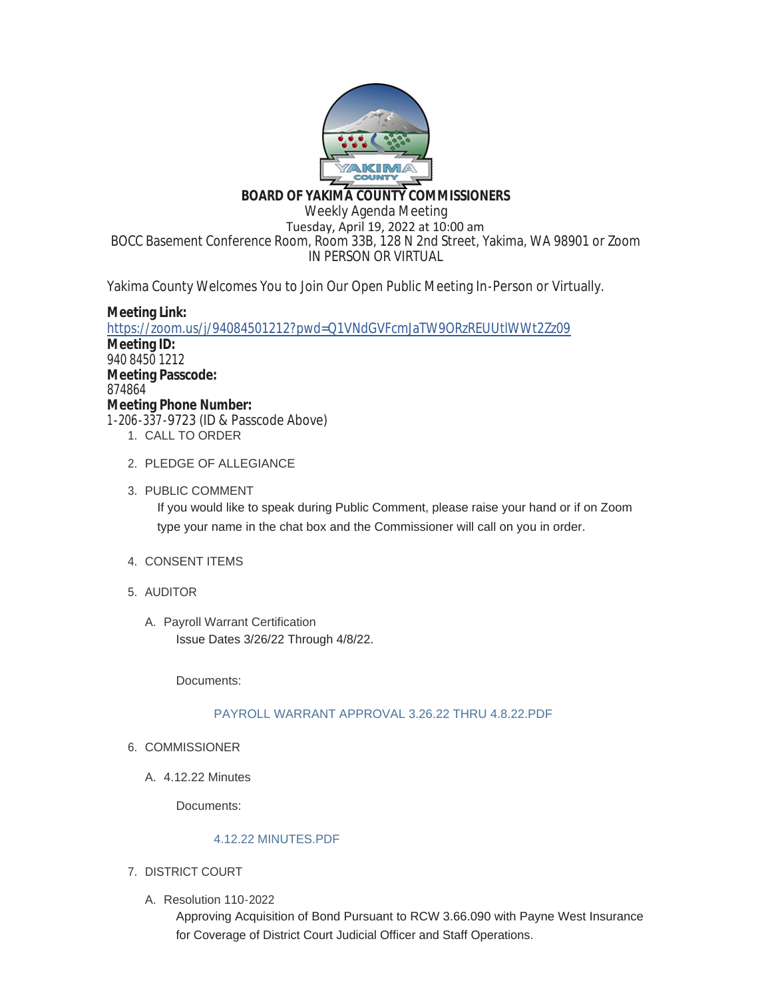

# **BOARD OF YAKIMA COUNTY COMMISSIONERS**

Weekly Agenda Meeting Tuesday, April 19, 2022 at 10:00 am BOCC Basement Conference Room, Room 33B, 128 N 2nd Street, Yakima, WA 98901 or Zoom IN PERSON OR VIRTUAL

Yakima County Welcomes You to Join Our Open Public Meeting In-Person or Virtually.

# **Meeting Link:**

<https://zoom.us/j/94084501212?pwd=Q1VNdGVFcmJaTW9ORzREUUtlWWt2Zz09> **Meeting ID:** 940 8450 1212 **Meeting Passcode:** 874864 **Meeting Phone Number:** 1-206-337-9723 (ID & Passcode Above) 1. CALL TO ORDER

- 2. PLEDGE OF ALLEGIANCE
- 3. PUBLIC COMMENT

If you would like to speak during Public Comment, please raise your hand or if on Zoom type your name in the chat box and the Commissioner will call on you in order.

- 4. CONSENT ITEMS
- AUDITOR 5.
	- A. Payroll Warrant Certification Issue Dates 3/26/22 Through 4/8/22.

Documents:

# [PAYROLL WARRANT APPROVAL 3.26.22 THRU 4.8.22.PDF](https://www.yakimacounty.us/AgendaCenter/ViewFile/Item/4234?fileID=16098)

- 6. COMMISSIONER
	- 4.12.22 Minutes A.

Documents:

# [4.12.22 MINUTES.PDF](https://www.yakimacounty.us/AgendaCenter/ViewFile/Item/4213?fileID=16085)

- 7. DISTRICT COURT
	- Resolution 110-2022 A.

Approving Acquisition of Bond Pursuant to RCW 3.66.090 with Payne West Insurance for Coverage of District Court Judicial Officer and Staff Operations.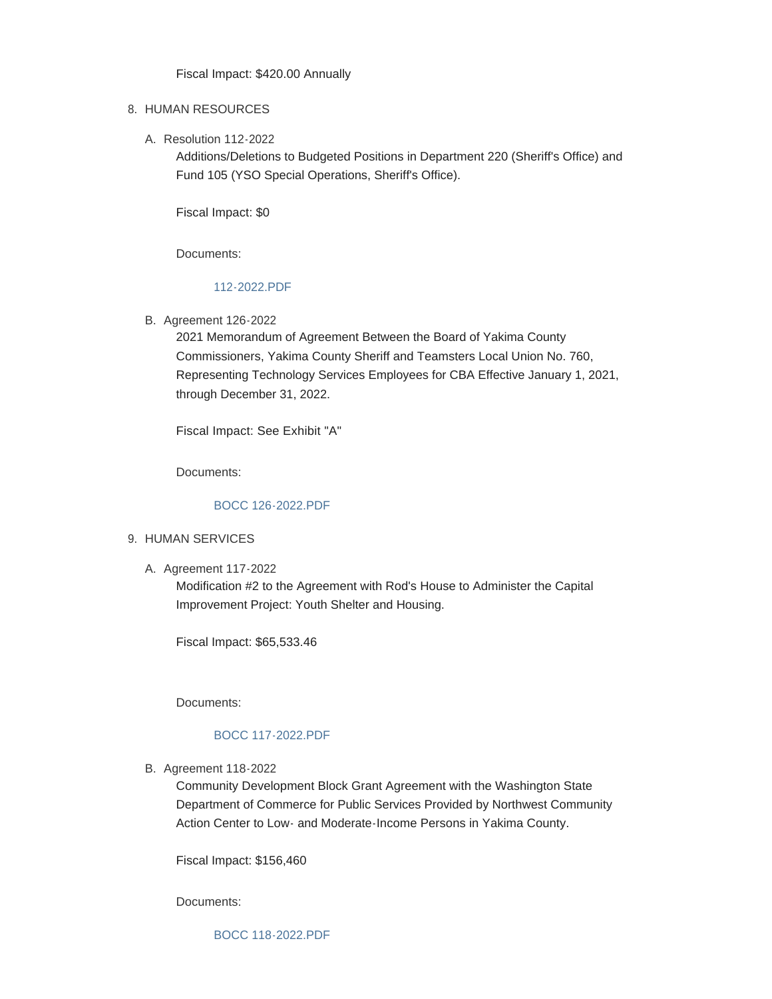Fiscal Impact: \$420.00 Annually

#### 8. HUMAN RESOURCES

Resolution 112-2022 A.

Additions/Deletions to Budgeted Positions in Department 220 (Sheriff's Office) and Fund 105 (YSO Special Operations, Sheriff's Office).

Fiscal Impact: \$0

Documents:

### [112-2022.PDF](https://www.yakimacounty.us/AgendaCenter/ViewFile/Item/4215?fileID=16086)

B. Agreement 126-2022

2021 Memorandum of Agreement Between the Board of Yakima County Commissioners, Yakima County Sheriff and Teamsters Local Union No. 760, Representing Technology Services Employees for CBA Effective January 1, 2021, through December 31, 2022.

Fiscal Impact: See Exhibit "A"

Documents:

### [BOCC 126-2022.PDF](https://www.yakimacounty.us/AgendaCenter/ViewFile/Item/4216?fileID=16087)

### 9. HUMAN SERVICES

A. Agreement 117-2022

Modification #2 to the Agreement with Rod's House to Administer the Capital Improvement Project: Youth Shelter and Housing.

Fiscal Impact: \$65,533.46

Documents:

# [BOCC 117-2022.PDF](https://www.yakimacounty.us/AgendaCenter/ViewFile/Item/4217?fileID=16088)

B. Agreement 118-2022

Community Development Block Grant Agreement with the Washington State Department of Commerce for Public Services Provided by Northwest Community Action Center to Low- and Moderate-Income Persons in Yakima County.

Fiscal Impact: \$156,460

Documents:

[BOCC 118-2022.PDF](https://www.yakimacounty.us/AgendaCenter/ViewFile/Item/4218?fileID=16089)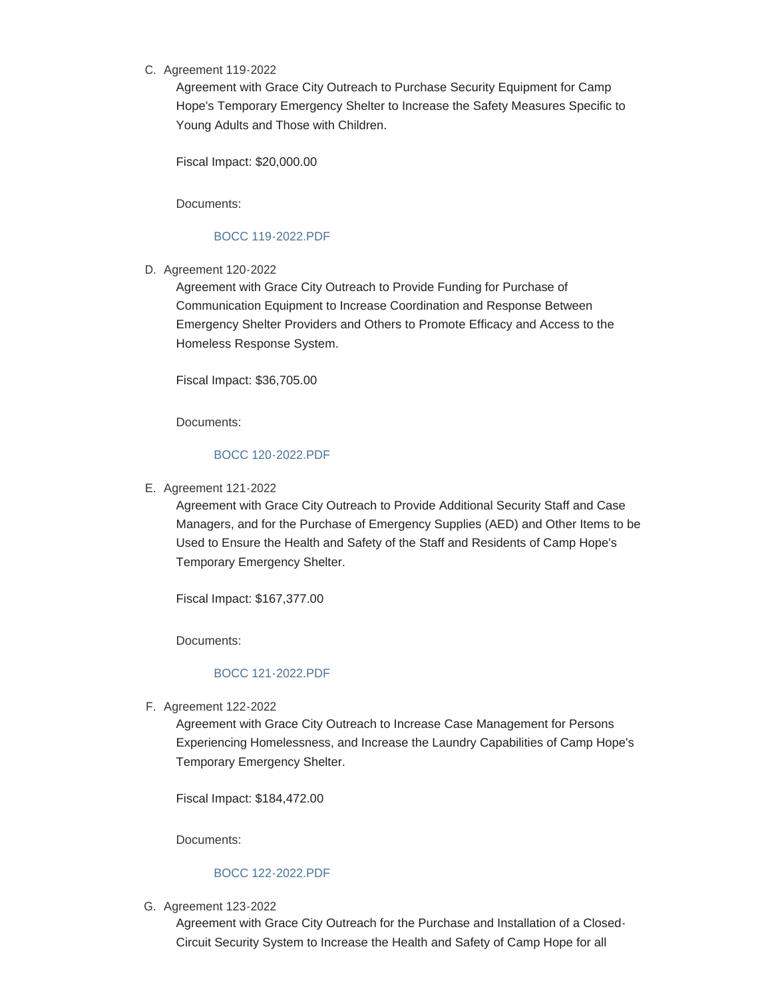### C. Agreement 119-2022

Agreement with Grace City Outreach to Purchase Security Equipment for Camp Hope's Temporary Emergency Shelter to Increase the Safety Measures Specific to Young Adults and Those with Children.

Fiscal Impact: \$20,000.00

Documents:

### [BOCC 119-2022.PDF](https://www.yakimacounty.us/AgendaCenter/ViewFile/Item/4219?fileID=16090)

D. Agreement 120-2022

Agreement with Grace City Outreach to Provide Funding for Purchase of Communication Equipment to Increase Coordination and Response Between Emergency Shelter Providers and Others to Promote Efficacy and Access to the Homeless Response System.

Fiscal Impact: \$36,705.00

Documents:

# [BOCC 120-2022.PDF](https://www.yakimacounty.us/AgendaCenter/ViewFile/Item/4220?fileID=16091)

E. Agreement 121-2022

Agreement with Grace City Outreach to Provide Additional Security Staff and Case Managers, and for the Purchase of Emergency Supplies (AED) and Other Items to be Used to Ensure the Health and Safety of the Staff and Residents of Camp Hope's Temporary Emergency Shelter.

Fiscal Impact: \$167,377.00

Documents:

# [BOCC 121-2022.PDF](https://www.yakimacounty.us/AgendaCenter/ViewFile/Item/4225?fileID=16092)

Agreement 122-2022 F.

Agreement with Grace City Outreach to Increase Case Management for Persons Experiencing Homelessness, and Increase the Laundry Capabilities of Camp Hope's Temporary Emergency Shelter.

Fiscal Impact: \$184,472.00

Documents:

### [BOCC 122-2022.PDF](https://www.yakimacounty.us/AgendaCenter/ViewFile/Item/4226?fileID=16093)

G. Agreement 123-2022

Agreement with Grace City Outreach for the Purchase and Installation of a Closed-Circuit Security System to Increase the Health and Safety of Camp Hope for all